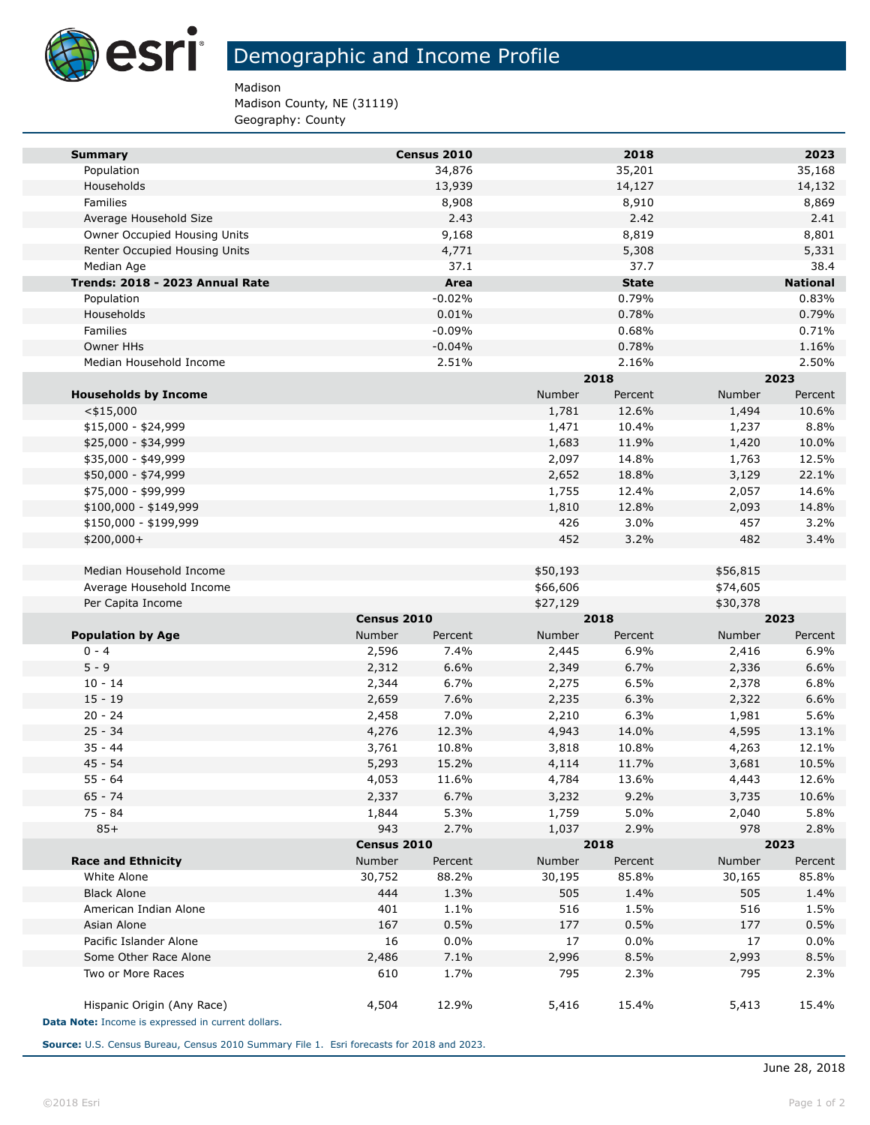

## Demographic and Income Profile

Madison

Madison County, NE (31119) Geography: County

| <b>Summary</b>                                     |             | Census 2010 |          | 2018         |          | 2023            |
|----------------------------------------------------|-------------|-------------|----------|--------------|----------|-----------------|
| Population                                         |             | 34,876      |          | 35,201       |          | 35,168          |
| Households                                         |             | 13,939      |          | 14,127       |          | 14,132          |
| Families                                           |             | 8,908       |          | 8,910        |          | 8,869           |
| Average Household Size                             |             | 2.43        |          | 2.42         |          | 2.41            |
| Owner Occupied Housing Units                       |             | 9,168       |          | 8,819        |          | 8,801           |
| Renter Occupied Housing Units                      |             | 4,771       |          | 5,308        |          | 5,331           |
| Median Age                                         |             | 37.1        |          | 37.7         |          | 38.4            |
| Trends: 2018 - 2023 Annual Rate                    |             | Area        |          | <b>State</b> |          | <b>National</b> |
| Population                                         |             | $-0.02%$    |          | 0.79%        |          | 0.83%           |
| Households                                         |             | 0.01%       |          | 0.78%        |          | 0.79%           |
| Families                                           |             | $-0.09%$    |          | 0.68%        |          | 0.71%           |
| Owner HHs                                          |             | $-0.04%$    |          | 0.78%        |          | 1.16%           |
| Median Household Income                            |             | 2.51%       |          | 2.16%        |          | 2.50%           |
|                                                    |             |             | 2018     |              | 2023     |                 |
| <b>Households by Income</b>                        |             |             | Number   | Percent      | Number   | Percent         |
| $<$ \$15,000                                       |             |             | 1,781    | 12.6%        | 1,494    | 10.6%           |
| $$15,000 - $24,999$                                |             |             | 1,471    | 10.4%        | 1,237    | 8.8%            |
| \$25,000 - \$34,999                                |             |             | 1,683    | 11.9%        | 1,420    | 10.0%           |
| \$35,000 - \$49,999                                |             |             | 2,097    | 14.8%        | 1,763    | 12.5%           |
| \$50,000 - \$74,999                                |             |             | 2,652    | 18.8%        | 3,129    | 22.1%           |
| \$75,000 - \$99,999                                |             |             | 1,755    | 12.4%        | 2,057    | 14.6%           |
| $$100,000 - $149,999$                              |             |             | 1,810    | 12.8%        | 2,093    | 14.8%           |
| \$150,000 - \$199,999                              |             |             | 426      | 3.0%         | 457      | 3.2%            |
| $$200,000+$                                        |             |             | 452      | 3.2%         | 482      | 3.4%            |
| Median Household Income                            |             |             | \$50,193 |              | \$56,815 |                 |
| Average Household Income                           |             |             | \$66,606 |              | \$74,605 |                 |
| Per Capita Income                                  |             |             | \$27,129 |              | \$30,378 |                 |
|                                                    | Census 2010 |             | 2018     |              | 2023     |                 |
| <b>Population by Age</b>                           | Number      | Percent     | Number   | Percent      | Number   | Percent         |
| $0 - 4$                                            | 2,596       | 7.4%        | 2,445    | 6.9%         | 2,416    | 6.9%            |
| $5 - 9$                                            | 2,312       | 6.6%        | 2,349    | 6.7%         | 2,336    | 6.6%            |
| $10 - 14$                                          | 2,344       | 6.7%        | 2,275    | 6.5%         | 2,378    | 6.8%            |
| $15 - 19$                                          | 2,659       | 7.6%        | 2,235    | 6.3%         | 2,322    | 6.6%            |
| $20 - 24$                                          | 2,458       | 7.0%        | 2,210    | 6.3%         | 1,981    | 5.6%            |
| $25 - 34$                                          | 4,276       | 12.3%       | 4,943    | 14.0%        | 4,595    | 13.1%           |
| $35 - 44$                                          | 3,761       | 10.8%       | 3,818    | 10.8%        | 4,263    | 12.1%           |
| $45 - 54$                                          | 5,293       | 15.2%       | 4,114    | 11.7%        | 3,681    | 10.5%           |
| 55 - 64                                            | 4,053       | 11.6%       | 4,784    | 13.6%        | 4,443    | 12.6%           |
| $65 - 74$                                          | 2,337       | 6.7%        | 3,232    | 9.2%         | 3,735    | 10.6%           |
| 75 - 84                                            | 1,844       | 5.3%        | 1,759    | 5.0%         | 2,040    | 5.8%            |
| $85+$                                              | 943         | 2.7%        | 1,037    | 2.9%         | 978      | 2.8%            |
|                                                    |             | Census 2010 |          | 2018         | 2023     |                 |
| <b>Race and Ethnicity</b>                          | Number      | Percent     | Number   | Percent      | Number   | Percent         |
| White Alone                                        | 30,752      | 88.2%       | 30,195   | 85.8%        | 30,165   | 85.8%           |
| <b>Black Alone</b>                                 | 444         | 1.3%        | 505      | 1.4%         | 505      | 1.4%            |
| American Indian Alone                              | 401         | 1.1%        | 516      | 1.5%         | 516      | 1.5%            |
| Asian Alone                                        | 167         | 0.5%        | 177      | 0.5%         | 177      | 0.5%            |
| Pacific Islander Alone                             | 16          | 0.0%        | 17       | 0.0%         | 17       | 0.0%            |
| Some Other Race Alone                              | 2,486       | 7.1%        | 2,996    | 8.5%         | 2,993    | 8.5%            |
| Two or More Races                                  | 610         | 1.7%        | 795      | 2.3%         | 795      | 2.3%            |
|                                                    |             |             |          |              |          |                 |
| Hispanic Origin (Any Race)                         | 4,504       | 12.9%       | 5,416    | 15.4%        | 5,413    | 15.4%           |
| Data Note: Income is expressed in current dollars. |             |             |          |              |          |                 |

**Source:** U.S. Census Bureau, Census 2010 Summary File 1. Esri forecasts for 2018 and 2023.